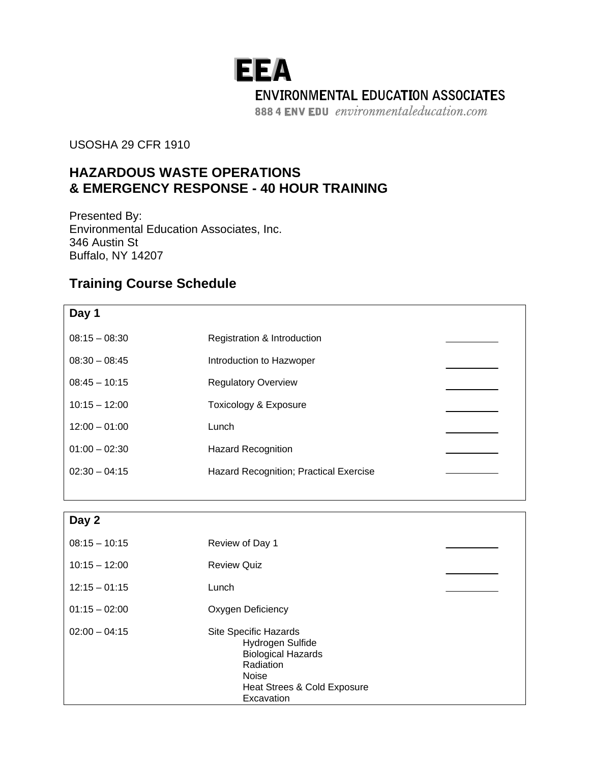## **EEA ENVIRONMENTAL EDUCATION ASSOCIATES**

888 4 ENV EDU environmentaleducation.com

## USOSHA 29 CFR 1910

## **HAZARDOUS WASTE OPERATIONS & EMERGENCY RESPONSE - 40 HOUR TRAINING**

Presented By: Environmental Education Associates, Inc. 346 Austin St Buffalo, NY 14207

## **Training Course Schedule**

| Day 1           |                                               |  |
|-----------------|-----------------------------------------------|--|
| $08:15 - 08:30$ | Registration & Introduction                   |  |
| $08:30 - 08:45$ | Introduction to Hazwoper                      |  |
| $08:45 - 10:15$ | <b>Regulatory Overview</b>                    |  |
| $10:15 - 12:00$ | Toxicology & Exposure                         |  |
| $12:00 - 01:00$ | Lunch                                         |  |
| $01:00 - 02:30$ | <b>Hazard Recognition</b>                     |  |
| $02:30 - 04:15$ | <b>Hazard Recognition; Practical Exercise</b> |  |
|                 |                                               |  |

| Day 2           |                                                                                                                                                  |  |
|-----------------|--------------------------------------------------------------------------------------------------------------------------------------------------|--|
| $08:15 - 10:15$ | Review of Day 1                                                                                                                                  |  |
| $10:15 - 12:00$ | <b>Review Quiz</b>                                                                                                                               |  |
| $12:15 - 01:15$ | Lunch                                                                                                                                            |  |
| $01:15 - 02:00$ | Oxygen Deficiency                                                                                                                                |  |
| $02:00 - 04:15$ | Site Specific Hazards<br>Hydrogen Sulfide<br><b>Biological Hazards</b><br>Radiation<br><b>Noise</b><br>Heat Strees & Cold Exposure<br>Excavation |  |